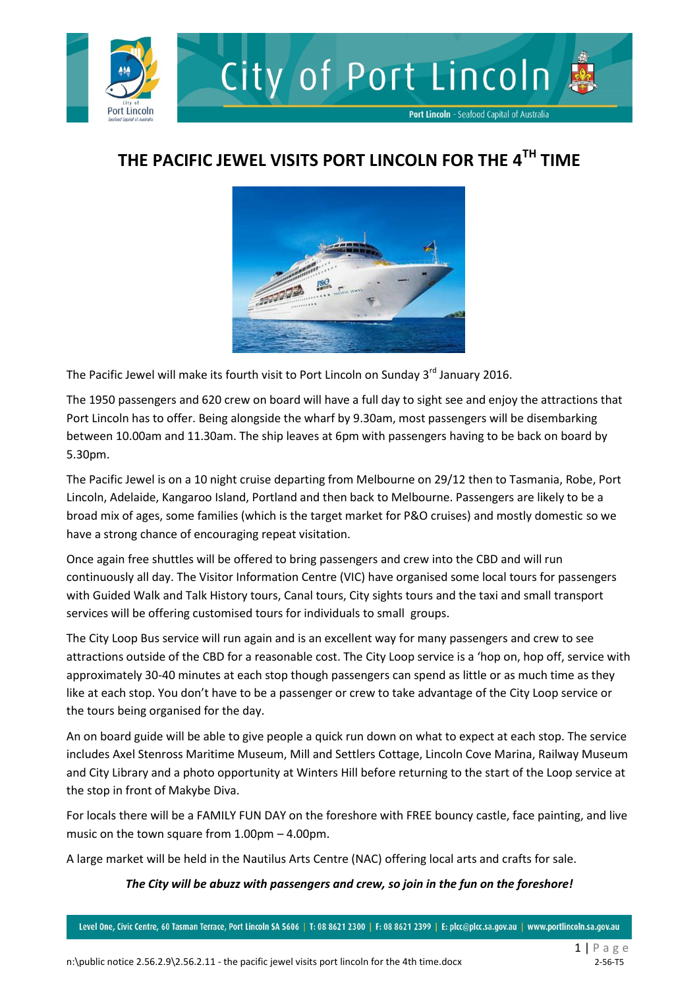

## **THE PACIFIC JEWEL VISITS PORT LINCOLN FOR THE 4TH TIME**



The Pacific Jewel will make its fourth visit to Port Lincoln on Sunday 3<sup>rd</sup> January 2016.

The 1950 passengers and 620 crew on board will have a full day to sight see and enjoy the attractions that Port Lincoln has to offer. Being alongside the wharf by 9.30am, most passengers will be disembarking between 10.00am and 11.30am. The ship leaves at 6pm with passengers having to be back on board by 5.30pm.

The Pacific Jewel is on a 10 night cruise departing from Melbourne on 29/12 then to Tasmania, Robe, Port Lincoln, Adelaide, Kangaroo Island, Portland and then back to Melbourne. Passengers are likely to be a broad mix of ages, some families (which is the target market for P&O cruises) and mostly domestic so we have a strong chance of encouraging repeat visitation.

Once again free shuttles will be offered to bring passengers and crew into the CBD and will run continuously all day. The Visitor Information Centre (VIC) have organised some local tours for passengers with Guided Walk and Talk History tours, Canal tours, City sights tours and the taxi and small transport services will be offering customised tours for individuals to small groups.

The City Loop Bus service will run again and is an excellent way for many passengers and crew to see attractions outside of the CBD for a reasonable cost. The City Loop service is a 'hop on, hop off, service with approximately 30-40 minutes at each stop though passengers can spend as little or as much time as they like at each stop. You don't have to be a passenger or crew to take advantage of the City Loop service or the tours being organised for the day.

An on board guide will be able to give people a quick run down on what to expect at each stop. The service includes Axel Stenross Maritime Museum, Mill and Settlers Cottage, Lincoln Cove Marina, Railway Museum and City Library and a photo opportunity at Winters Hill before returning to the start of the Loop service at the stop in front of Makybe Diva.

For locals there will be a FAMILY FUN DAY on the foreshore with FREE bouncy castle, face painting, and live music on the town square from 1.00pm – 4.00pm.

A large market will be held in the Nautilus Arts Centre (NAC) offering local arts and crafts for sale.

## *The City will be abuzz with passengers and crew, so join in the fun on the foreshore!*

Level One, Civic Centre, 60 Tasman Terrace, Port Lincoln SA 5606 | T: 08 8621 2300 | F: 08 8621 2399 | E: plcc@plcc.sa.gov.au | www.portlincoln.sa.gov.au